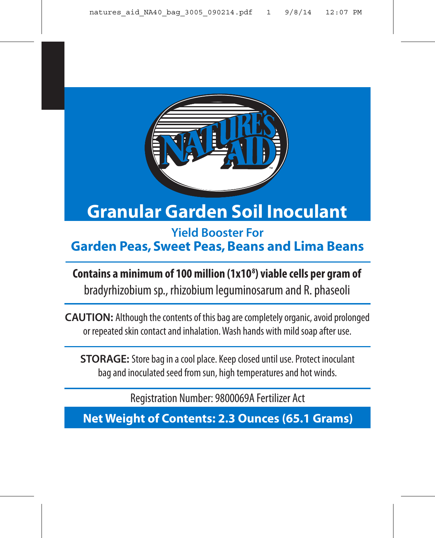

™

**Yield Booster For Garden Peas, Sweet Peas, Beans and Lima Beans**

**Contains a minimum of 100 million (1x108 ) viable cells per gram of** bradyrhizobium sp., rhizobium leguminosarum and R. phaseoli

**CAUTION:** Although the contents of this bag are completely organic, avoid prolonged or repeated skin contact and inhalation. Wash hands with mild soap after use.

**STORAGE:** Store bag in a cool place. Keep closed until use. Protect inoculant bag and inoculated seed from sun, high temperatures and hot winds.

Registration Number: 9800069A Fertilizer Act

**Net Weight of Contents: 2.3 Ounces (65.1 Grams)**